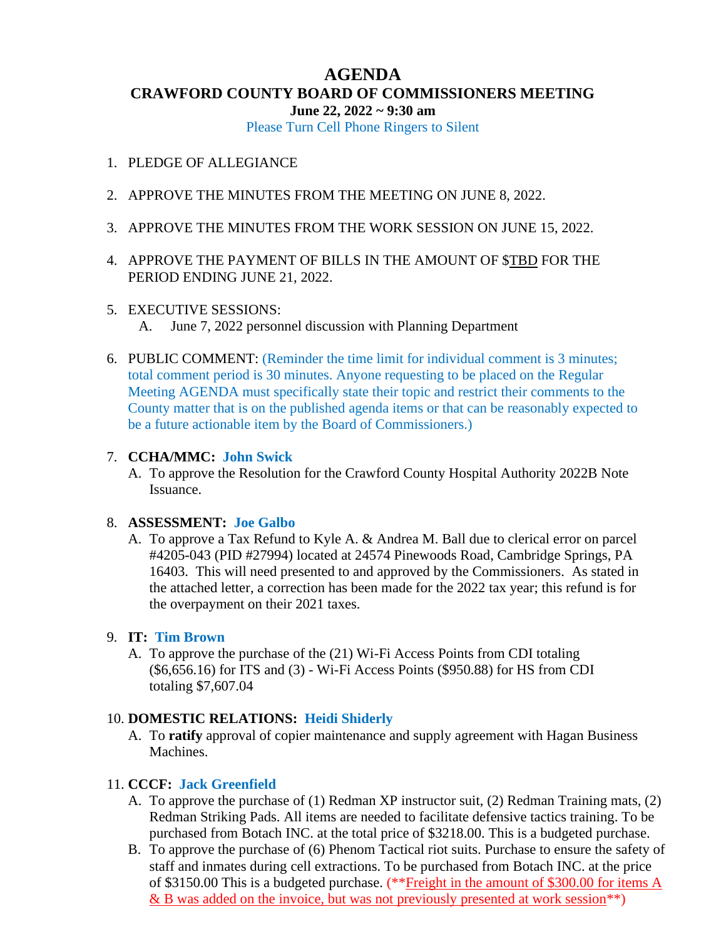# **AGENDA CRAWFORD COUNTY BOARD OF COMMISSIONERS MEETING June 22, 2022 ~ 9:30 am**

Please Turn Cell Phone Ringers to Silent

- 1. PLEDGE OF ALLEGIANCE
- 2. APPROVE THE MINUTES FROM THE MEETING ON JUNE 8, 2022.
- 3. APPROVE THE MINUTES FROM THE WORK SESSION ON JUNE 15, 2022.
- 4. APPROVE THE PAYMENT OF BILLS IN THE AMOUNT OF \$TBD FOR THE PERIOD ENDING JUNE 21, 2022.

#### 5. EXECUTIVE SESSIONS:

A. June 7, 2022 personnel discussion with Planning Department

6. PUBLIC COMMENT: (Reminder the time limit for individual comment is 3 minutes; total comment period is 30 minutes. Anyone requesting to be placed on the Regular Meeting AGENDA must specifically state their topic and restrict their comments to the County matter that is on the published agenda items or that can be reasonably expected to be a future actionable item by the Board of Commissioners.)

#### 7. **CCHA/MMC: John Swick**

A. To approve the Resolution for the Crawford County Hospital Authority 2022B Note Issuance.

#### 8. **ASSESSMENT: Joe Galbo**

A. To approve a Tax Refund to Kyle A. & Andrea M. Ball due to clerical error on parcel #4205-043 (PID #27994) located at 24574 Pinewoods Road, Cambridge Springs, PA 16403. This will need presented to and approved by the Commissioners. As stated in the attached letter, a correction has been made for the 2022 tax year; this refund is for the overpayment on their 2021 taxes.

#### 9. **IT: Tim Brown**

A. To approve the purchase of the (21) Wi-Fi Access Points from CDI totaling (\$6,656.16) for ITS and (3) - Wi-Fi Access Points (\$950.88) for HS from CDI totaling \$7,607.04

### 10. **DOMESTIC RELATIONS: Heidi Shiderly**

A. To **ratify** approval of copier maintenance and supply agreement with Hagan Business Machines.

# 11. **CCCF: Jack Greenfield**

- A. To approve the purchase of (1) Redman XP instructor suit, (2) Redman Training mats, (2) Redman Striking Pads. All items are needed to facilitate defensive tactics training. To be purchased from Botach INC. at the total price of \$3218.00. This is a budgeted purchase.
- B. To approve the purchase of (6) Phenom Tactical riot suits. Purchase to ensure the safety of staff and inmates during cell extractions. To be purchased from Botach INC. at the price of \$3150.00 This is a budgeted purchase. (\*\*Freight in the amount of \$300.00 for items A & B was added on the invoice, but was not previously presented at work session<sup>\*\*</sup>)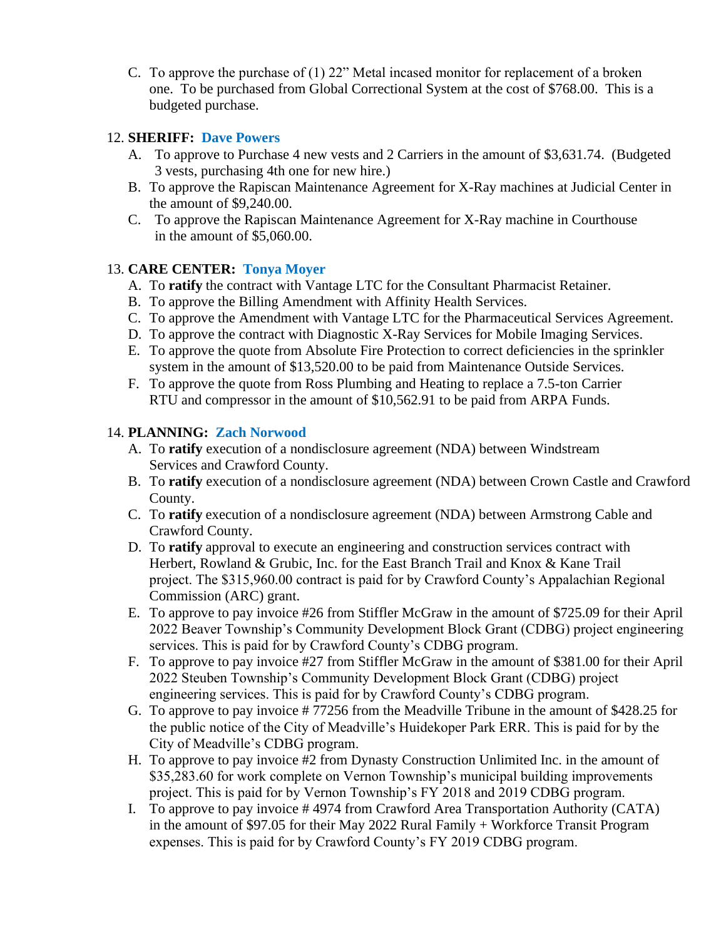C. To approve the purchase of (1) 22" Metal incased monitor for replacement of a broken one. To be purchased from Global Correctional System at the cost of \$768.00. This is a budgeted purchase.

## 12. **SHERIFF: Dave Powers**

- A. To approve to Purchase 4 new vests and 2 Carriers in the amount of \$3,631.74. (Budgeted 3 vests, purchasing 4th one for new hire.)
- B. To approve the Rapiscan Maintenance Agreement for X-Ray machines at Judicial Center in the amount of \$9,240.00.
- C. To approve the Rapiscan Maintenance Agreement for X-Ray machine in Courthouse in the amount of \$5,060.00.

## 13. **CARE CENTER: Tonya Moyer**

- A. To **ratify** the contract with Vantage LTC for the Consultant Pharmacist Retainer.
- B. To approve the Billing Amendment with Affinity Health Services.
- C. To approve the Amendment with Vantage LTC for the Pharmaceutical Services Agreement.
- D. To approve the contract with Diagnostic X-Ray Services for Mobile Imaging Services.
- E. To approve the quote from Absolute Fire Protection to correct deficiencies in the sprinkler system in the amount of \$13,520.00 to be paid from Maintenance Outside Services.
- F. To approve the quote from Ross Plumbing and Heating to replace a 7.5-ton Carrier RTU and compressor in the amount of \$10,562.91 to be paid from ARPA Funds.

## 14. **PLANNING: Zach Norwood**

- A. To **ratify** execution of a nondisclosure agreement (NDA) between Windstream Services and Crawford County.
- B. To **ratify** execution of a nondisclosure agreement (NDA) between Crown Castle and Crawford County.
- C. To **ratify** execution of a nondisclosure agreement (NDA) between Armstrong Cable and Crawford County.
- D. To **ratify** approval to execute an engineering and construction services contract with Herbert, Rowland & Grubic, Inc. for the East Branch Trail and Knox & Kane Trail project. The \$315,960.00 contract is paid for by Crawford County's Appalachian Regional Commission (ARC) grant.
- E. To approve to pay invoice #26 from Stiffler McGraw in the amount of \$725.09 for their April 2022 Beaver Township's Community Development Block Grant (CDBG) project engineering services. This is paid for by Crawford County's CDBG program.
- F. To approve to pay invoice #27 from Stiffler McGraw in the amount of \$381.00 for their April 2022 Steuben Township's Community Development Block Grant (CDBG) project engineering services. This is paid for by Crawford County's CDBG program.
- G. To approve to pay invoice # 77256 from the Meadville Tribune in the amount of \$428.25 for the public notice of the City of Meadville's Huidekoper Park ERR. This is paid for by the City of Meadville's CDBG program.
- H. To approve to pay invoice #2 from Dynasty Construction Unlimited Inc. in the amount of \$35,283.60 for work complete on Vernon Township's municipal building improvements project. This is paid for by Vernon Township's FY 2018 and 2019 CDBG program.
- I. To approve to pay invoice # 4974 from Crawford Area Transportation Authority (CATA) in the amount of \$97.05 for their May 2022 Rural Family + Workforce Transit Program expenses. This is paid for by Crawford County's FY 2019 CDBG program.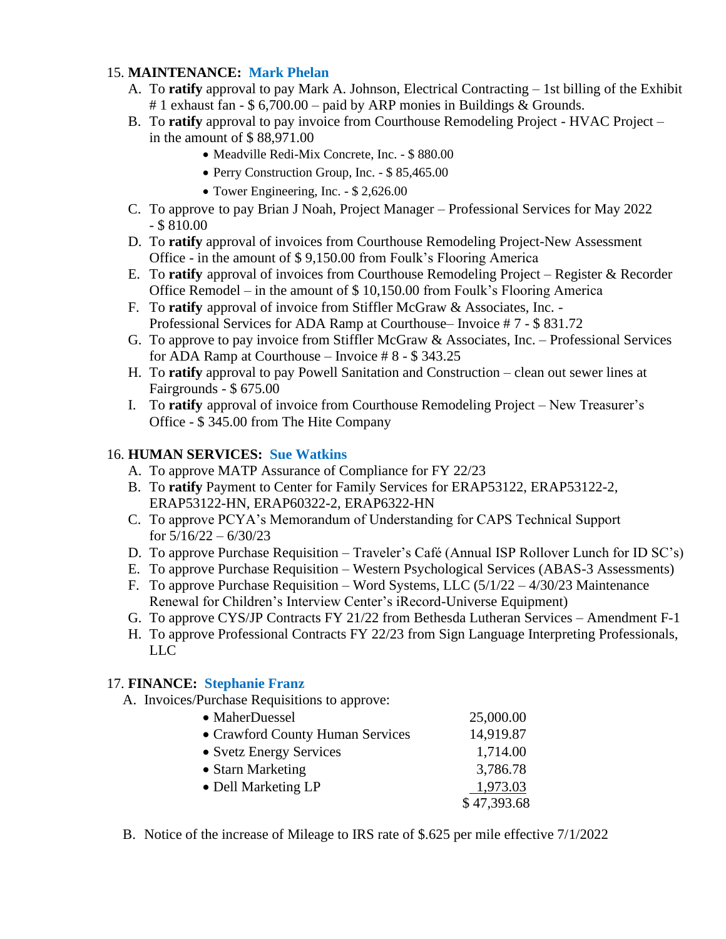# 15. **MAINTENANCE: Mark Phelan**

- A. To **ratify** approval to pay Mark A. Johnson, Electrical Contracting 1st billing of the Exhibit # 1 exhaust fan - \$ 6,700.00 – paid by ARP monies in Buildings & Grounds.
- B. To **ratify** approval to pay invoice from Courthouse Remodeling Project HVAC Project in the amount of \$ 88,971.00
	- Meadville Redi-Mix Concrete, Inc. \$ 880.00
	- Perry Construction Group, Inc. \$ 85,465.00
	- Tower Engineering, Inc. \$ 2,626.00
- C. To approve to pay Brian J Noah, Project Manager Professional Services for May 2022  $-$  \$ 810.00
- D. To **ratify** approval of invoices from Courthouse Remodeling Project-New Assessment Office - in the amount of \$ 9,150.00 from Foulk's Flooring America
- E. To **ratify** approval of invoices from Courthouse Remodeling Project Register & Recorder Office Remodel – in the amount of  $$10,150.00$  from Foulk's Flooring America
- F. To **ratify** approval of invoice from Stiffler McGraw & Associates, Inc. Professional Services for ADA Ramp at Courthouse– Invoice # 7 - \$ 831.72
- G. To approve to pay invoice from Stiffler McGraw & Associates, Inc. Professional Services for ADA Ramp at Courthouse – Invoice # 8 - \$ 343.25
- H. To **ratify** approval to pay Powell Sanitation and Construction clean out sewer lines at Fairgrounds - \$ 675.00
- I. To **ratify** approval of invoice from Courthouse Remodeling Project New Treasurer's Office - \$ 345.00 from The Hite Company

# 16. **HUMAN SERVICES: Sue Watkins**

- A. To approve MATP Assurance of Compliance for FY 22/23
- B. To **ratify** Payment to Center for Family Services for ERAP53122, ERAP53122-2, ERAP53122-HN, ERAP60322-2, ERAP6322-HN
- C. To approve PCYA's Memorandum of Understanding for CAPS Technical Support for  $5/16/22 - 6/30/23$
- D. To approve Purchase Requisition Traveler's Café (Annual ISP Rollover Lunch for ID SC's)
- E. To approve Purchase Requisition Western Psychological Services (ABAS-3 Assessments)
- F. To approve Purchase Requisition Word Systems, LLC  $(5/1/22 4/30/23)$  Maintenance Renewal for Children's Interview Center's iRecord-Universe Equipment)
- G. To approve CYS/JP Contracts FY 21/22 from Bethesda Lutheran Services Amendment F-1
- H. To approve Professional Contracts FY 22/23 from Sign Language Interpreting Professionals, LLC

# 17. **FINANCE: Stephanie Franz**

A. Invoices/Purchase Requisitions to approve:

| • MaherDuessel                   | 25,000.00   |
|----------------------------------|-------------|
| • Crawford County Human Services | 14,919.87   |
| • Svetz Energy Services          | 1,714.00    |
| • Starn Marketing                | 3,786.78    |
| • Dell Marketing LP              | 1,973.03    |
|                                  | \$47,393.68 |

B. Notice of the increase of Mileage to IRS rate of \$.625 per mile effective 7/1/2022